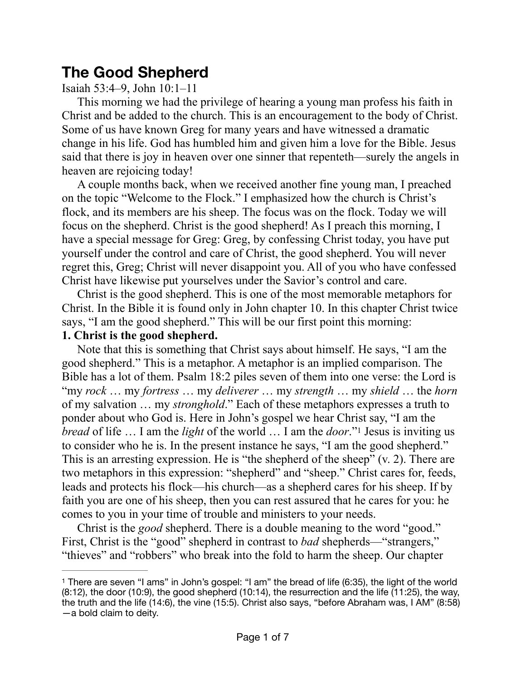# **The Good Shepherd**

## Isaiah 53:4–9, John 10:1–11

This morning we had the privilege of hearing a young man profess his faith in Christ and be added to the church. This is an encouragement to the body of Christ. Some of us have known Greg for many years and have witnessed a dramatic change in his life. God has humbled him and given him a love for the Bible. Jesus said that there is joy in heaven over one sinner that repenteth—surely the angels in heaven are rejoicing today!

A couple months back, when we received another fine young man, I preached on the topic "Welcome to the Flock." I emphasized how the church is Christ's flock, and its members are his sheep. The focus was on the flock. Today we will focus on the shepherd. Christ is the good shepherd! As I preach this morning, I have a special message for Greg: Greg, by confessing Christ today, you have put yourself under the control and care of Christ, the good shepherd. You will never regret this, Greg; Christ will never disappoint you. All of you who have confessed Christ have likewise put yourselves under the Savior's control and care.

Christ is the good shepherd. This is one of the most memorable metaphors for Christ. In the Bible it is found only in John chapter 10. In this chapter Christ twice says, "I am the good shepherd." This will be our first point this morning:

#### **1. Christ is the good shepherd.**

<span id="page-0-1"></span>Note that this is something that Christ says about himself. He says, "I am the good shepherd." This is a metaphor. A metaphor is an implied comparison. The Bible has a lot of them. Psalm 18:2 piles seven of them into one verse: the Lord is "my *rock* … my *fortress* … my *deliverer* … my *strength* … my *shield* … the *horn* of my salvation … my *stronghold*." Each of these metaphors expresses a truth to ponder about who God is. Here in John's gospel we hear Christ say, "I am the *bread*of life ... I am the *light* of the world ... I am the *door*."<sup>[1](#page-0-0)</sup> Jesus is inviting us to consider who he is. In the present instance he says, "I am the good shepherd." This is an arresting expression. He is "the shepherd of the sheep" (v. 2). There are two metaphors in this expression: "shepherd" and "sheep." Christ cares for, feeds, leads and protects his flock—his church—as a shepherd cares for his sheep. If by faith you are one of his sheep, then you can rest assured that he cares for you: he comes to you in your time of trouble and ministers to your needs.

Christ is the *good* shepherd. There is a double meaning to the word "good." First, Christ is the "good" shepherd in contrast to *bad* shepherds—"strangers," "thieves" and "robbers" who break into the fold to harm the sheep. Our chapter

<span id="page-0-0"></span><sup>&</sup>lt;sup>[1](#page-0-1)</sup> There are seven "I ams" in John's gospel: "I am" the bread of life (6:35), the light of the world (8:12), the door (10:9), the good shepherd (10:14), the resurrection and the life (11:25), the way, the truth and the life (14:6), the vine (15:5). Christ also says, "before Abraham was, I AM" (8:58) —a bold claim to deity.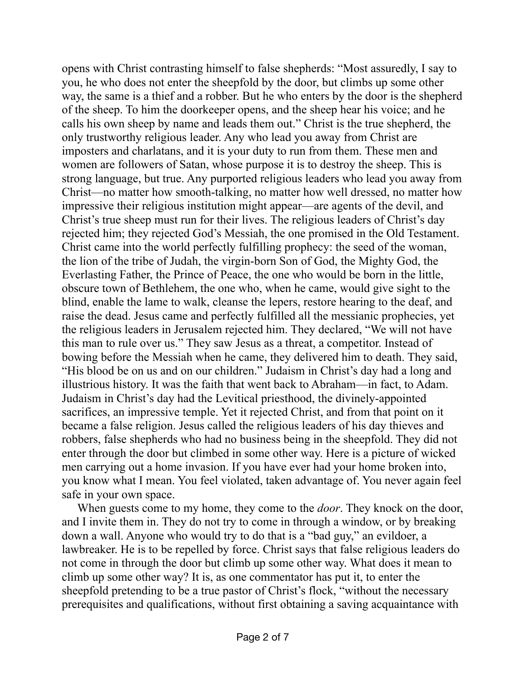opens with Christ contrasting himself to false shepherds: "Most assuredly, I say to you, he who does not enter the sheepfold by the door, but climbs up some other way, the same is a thief and a robber. But he who enters by the door is the shepherd of the sheep. To him the doorkeeper opens, and the sheep hear his voice; and he calls his own sheep by name and leads them out." Christ is the true shepherd, the only trustworthy religious leader. Any who lead you away from Christ are imposters and charlatans, and it is your duty to run from them. These men and women are followers of Satan, whose purpose it is to destroy the sheep. This is strong language, but true. Any purported religious leaders who lead you away from Christ—no matter how smooth-talking, no matter how well dressed, no matter how impressive their religious institution might appear—are agents of the devil, and Christ's true sheep must run for their lives. The religious leaders of Christ's day rejected him; they rejected God's Messiah, the one promised in the Old Testament. Christ came into the world perfectly fulfilling prophecy: the seed of the woman, the lion of the tribe of Judah, the virgin-born Son of God, the Mighty God, the Everlasting Father, the Prince of Peace, the one who would be born in the little, obscure town of Bethlehem, the one who, when he came, would give sight to the blind, enable the lame to walk, cleanse the lepers, restore hearing to the deaf, and raise the dead. Jesus came and perfectly fulfilled all the messianic prophecies, yet the religious leaders in Jerusalem rejected him. They declared, "We will not have this man to rule over us." They saw Jesus as a threat, a competitor. Instead of bowing before the Messiah when he came, they delivered him to death. They said, "His blood be on us and on our children." Judaism in Christ's day had a long and illustrious history. It was the faith that went back to Abraham—in fact, to Adam. Judaism in Christ's day had the Levitical priesthood, the divinely-appointed sacrifices, an impressive temple. Yet it rejected Christ, and from that point on it became a false religion. Jesus called the religious leaders of his day thieves and robbers, false shepherds who had no business being in the sheepfold. They did not enter through the door but climbed in some other way. Here is a picture of wicked men carrying out a home invasion. If you have ever had your home broken into, you know what I mean. You feel violated, taken advantage of. You never again feel safe in your own space.

When guests come to my home, they come to the *door*. They knock on the door, and I invite them in. They do not try to come in through a window, or by breaking down a wall. Anyone who would try to do that is a "bad guy," an evildoer, a lawbreaker. He is to be repelled by force. Christ says that false religious leaders do not come in through the door but climb up some other way. What does it mean to climb up some other way? It is, as one commentator has put it, to enter the sheepfold pretending to be a true pastor of Christ's flock, "without the necessary prerequisites and qualifications, without first obtaining a saving acquaintance with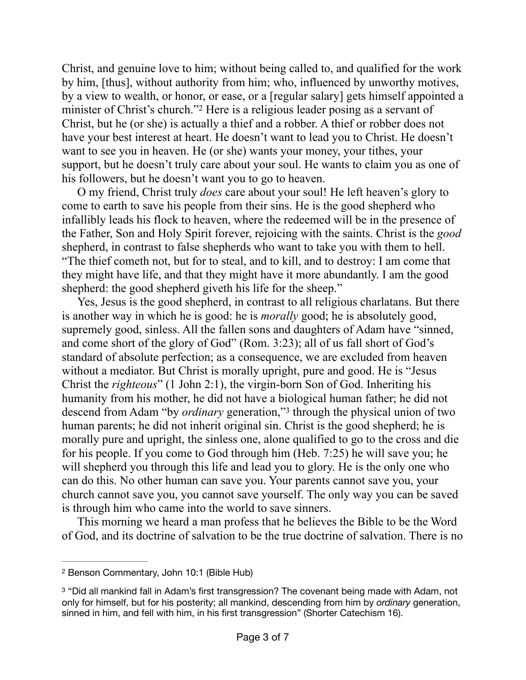<span id="page-2-2"></span>Christ, and genuine love to him; without being called to, and qualified for the work by him, [thus], without authority from him; who, influenced by unworthy motives, by a view to wealth, or honor, or ease, or a [regular salary] gets himself appointed a minister of Christ's church.["](#page-2-0)<sup>[2](#page-2-0)</sup> Here is a religious leader posing as a servant of Christ, but he (or she) is actually a thief and a robber. A thief or robber does not have your best interest at heart. He doesn't want to lead you to Christ. He doesn't want to see you in heaven. He (or she) wants your money, your tithes, your support, but he doesn't truly care about your soul. He wants to claim you as one of his followers, but he doesn't want you to go to heaven.

O my friend, Christ truly *does* care about your soul! He left heaven's glory to come to earth to save his people from their sins. He is the good shepherd who infallibly leads his flock to heaven, where the redeemed will be in the presence of the Father, Son and Holy Spirit forever, rejoicing with the saints. Christ is the *good* shepherd, in contrast to false shepherds who want to take you with them to hell. "The thief cometh not, but for to steal, and to kill, and to destroy: I am come that they might have life, and that they might have it more abundantly. I am the good shepherd: the good shepherd giveth his life for the sheep."

<span id="page-2-3"></span>Yes, Jesus is the good shepherd, in contrast to all religious charlatans. But there is another way in which he is good: he is *morally* good; he is absolutely good, supremely good, sinless. All the fallen sons and daughters of Adam have "sinned, and come short of the glory of God" (Rom. 3:23); all of us fall short of God's standard of absolute perfection; as a consequence, we are excluded from heaven without a mediator. But Christ is morally upright, pure and good. He is "Jesus Christ the *righteous*" (1 John 2:1), the virgin-born Son of God. Inheriting his humanity from his mother, he did not have a biological human father; he did not descend from Adam "by *ordinary* generation,"<sup>[3](#page-2-1)</sup> through the physical union of two human parents; he did not inherit original sin. Christ is the good shepherd; he is morally pure and upright, the sinless one, alone qualified to go to the cross and die for his people. If you come to God through him (Heb. 7:25) he will save you; he will shepherd you through this life and lead you to glory. He is the only one who can do this. No other human can save you. Your parents cannot save you, your church cannot save you, you cannot save yourself. The only way you can be saved is through him who came into the world to save sinners.

This morning we heard a man profess that he believes the Bible to be the Word of God, and its doctrine of salvation to be the true doctrine of salvation. There is no

<span id="page-2-0"></span><sup>&</sup>lt;sup>[2](#page-2-2)</sup> Benson Commentary, John 10:1 (Bible Hub)

<span id="page-2-1"></span><sup>&</sup>lt;sup>[3](#page-2-3)</sup> "Did all mankind fall in Adam's first transgression? The covenant being made with Adam, not only for himself, but for his posterity; all mankind, descending from him by *ordinary* generation, sinned in him, and fell with him, in his first transgression" (Shorter Catechism 16).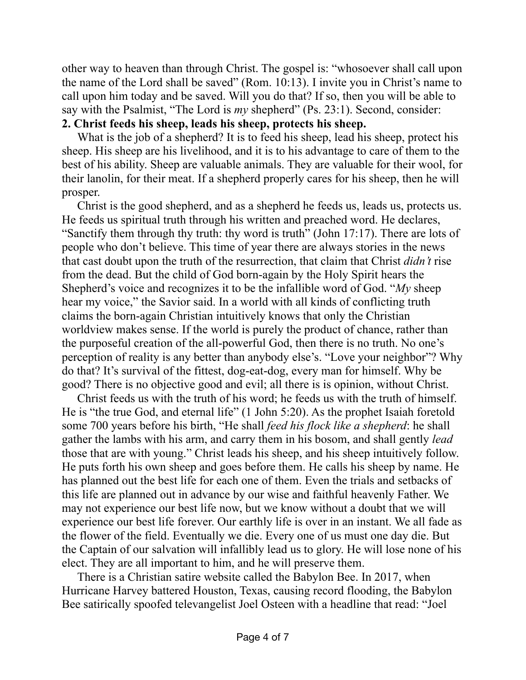other way to heaven than through Christ. The gospel is: "whosoever shall call upon the name of the Lord shall be saved" (Rom. 10:13). I invite you in Christ's name to call upon him today and be saved. Will you do that? If so, then you will be able to say with the Psalmist, "The Lord is *my* shepherd" (Ps. 23:1). Second, consider: **2. Christ feeds his sheep, leads his sheep, protects his sheep.**

What is the job of a shepherd? It is to feed his sheep, lead his sheep, protect his sheep. His sheep are his livelihood, and it is to his advantage to care of them to the best of his ability. Sheep are valuable animals. They are valuable for their wool, for their lanolin, for their meat. If a shepherd properly cares for his sheep, then he will prosper.

Christ is the good shepherd, and as a shepherd he feeds us, leads us, protects us. He feeds us spiritual truth through his written and preached word. He declares, "Sanctify them through thy truth: thy word is truth" (John 17:17). There are lots of people who don't believe. This time of year there are always stories in the news that cast doubt upon the truth of the resurrection, that claim that Christ *didn't* rise from the dead. But the child of God born-again by the Holy Spirit hears the Shepherd's voice and recognizes it to be the infallible word of God. "*My* sheep hear my voice," the Savior said. In a world with all kinds of conflicting truth claims the born-again Christian intuitively knows that only the Christian worldview makes sense. If the world is purely the product of chance, rather than the purposeful creation of the all-powerful God, then there is no truth. No one's perception of reality is any better than anybody else's. "Love your neighbor"? Why do that? It's survival of the fittest, dog-eat-dog, every man for himself. Why be good? There is no objective good and evil; all there is is opinion, without Christ.

Christ feeds us with the truth of his word; he feeds us with the truth of himself. He is "the true God, and eternal life" (1 John 5:20). As the prophet Isaiah foretold some 700 years before his birth, "He shall *feed his flock like a shepherd*: he shall gather the lambs with his arm, and carry them in his bosom, and shall gently *lead* those that are with young." Christ leads his sheep, and his sheep intuitively follow. He puts forth his own sheep and goes before them. He calls his sheep by name. He has planned out the best life for each one of them. Even the trials and setbacks of this life are planned out in advance by our wise and faithful heavenly Father. We may not experience our best life now, but we know without a doubt that we will experience our best life forever. Our earthly life is over in an instant. We all fade as the flower of the field. Eventually we die. Every one of us must one day die. But the Captain of our salvation will infallibly lead us to glory. He will lose none of his elect. They are all important to him, and he will preserve them.

There is a Christian satire website called the Babylon Bee. In 2017, when Hurricane Harvey battered Houston, Texas, causing record flooding, the Babylon Bee satirically spoofed televangelist Joel Osteen with a headline that read: "Joel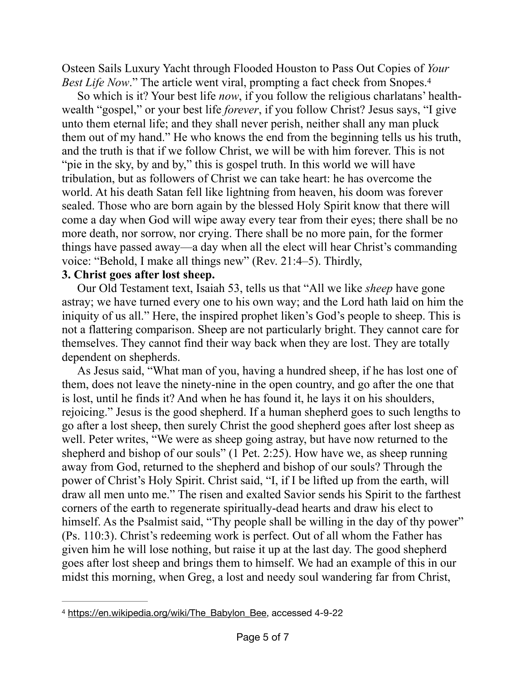<span id="page-4-1"></span>Osteen Sails Luxury Yacht through Flooded Houston to Pass Out Copies of *Your Best Life Now.*" The article went viral, prompting a fact check from Snopes.<sup>4</sup>

So which is it? Your best life *now*, if you follow the religious charlatans' healthwealth "gospel," or your best life *forever*, if you follow Christ? Jesus says, "I give unto them eternal life; and they shall never perish, neither shall any man pluck them out of my hand." He who knows the end from the beginning tells us his truth, and the truth is that if we follow Christ, we will be with him forever. This is not "pie in the sky, by and by," this is gospel truth. In this world we will have tribulation, but as followers of Christ we can take heart: he has overcome the world. At his death Satan fell like lightning from heaven, his doom was forever sealed. Those who are born again by the blessed Holy Spirit know that there will come a day when God will wipe away every tear from their eyes; there shall be no more death, nor sorrow, nor crying. There shall be no more pain, for the former things have passed away—a day when all the elect will hear Christ's commanding voice: "Behold, I make all things new" (Rev. 21:4–5). Thirdly,

#### **3. Christ goes after lost sheep.**

Our Old Testament text, Isaiah 53, tells us that "All we like *sheep* have gone astray; we have turned every one to his own way; and the Lord hath laid on him the iniquity of us all." Here, the inspired prophet liken's God's people to sheep. This is not a flattering comparison. Sheep are not particularly bright. They cannot care for themselves. They cannot find their way back when they are lost. They are totally dependent on shepherds.

As Jesus said, "What man of you, having a hundred sheep, if he has lost one of them, does not leave the ninety-nine in the open country, and go after the one that is lost, until he finds it? And when he has found it, he lays it on his shoulders, rejoicing." Jesus is the good shepherd. If a human shepherd goes to such lengths to go after a lost sheep, then surely Christ the good shepherd goes after lost sheep as well. Peter writes, "We were as sheep going astray, but have now returned to the shepherd and bishop of our souls" (1 Pet. 2:25). How have we, as sheep running away from God, returned to the shepherd and bishop of our souls? Through the power of Christ's Holy Spirit. Christ said, "I, if I be lifted up from the earth, will draw all men unto me." The risen and exalted Savior sends his Spirit to the farthest corners of the earth to regenerate spiritually-dead hearts and draw his elect to himself. As the Psalmist said, "Thy people shall be willing in the day of thy power" (Ps. 110:3). Christ's redeeming work is perfect. Out of all whom the Father has given him he will lose nothing, but raise it up at the last day. The good shepherd goes after lost sheep and brings them to himself. We had an example of this in our midst this morning, when Greg, a lost and needy soul wandering far from Christ,

<span id="page-4-0"></span>[<sup>4</sup>](#page-4-1) [https://en.wikipedia.org/wiki/The\\_Babylon\\_Bee](https://en.wikipedia.org/wiki/The_Babylon_Bee), accessed 4-9-22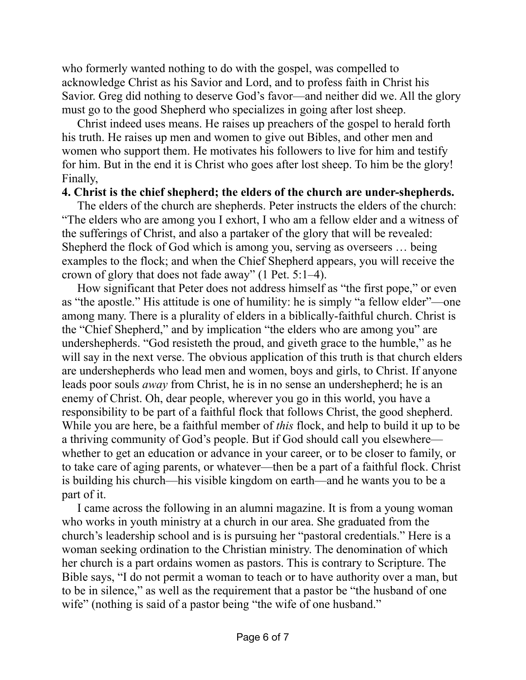who formerly wanted nothing to do with the gospel, was compelled to acknowledge Christ as his Savior and Lord, and to profess faith in Christ his Savior. Greg did nothing to deserve God's favor—and neither did we. All the glory must go to the good Shepherd who specializes in going after lost sheep.

Christ indeed uses means. He raises up preachers of the gospel to herald forth his truth. He raises up men and women to give out Bibles, and other men and women who support them. He motivates his followers to live for him and testify for him. But in the end it is Christ who goes after lost sheep. To him be the glory! Finally,

### **4. Christ is the chief shepherd; the elders of the church are under-shepherds.**

The elders of the church are shepherds. Peter instructs the elders of the church: "The elders who are among you I exhort, I who am a fellow elder and a witness of the sufferings of Christ, and also a partaker of the glory that will be revealed: Shepherd the flock of God which is among you, serving as overseers … being examples to the flock; and when the Chief Shepherd appears, you will receive the crown of glory that does not fade away" (1 Pet. 5:1–4).

How significant that Peter does not address himself as "the first pope," or even as "the apostle." His attitude is one of humility: he is simply "a fellow elder"—one among many. There is a plurality of elders in a biblically-faithful church. Christ is the "Chief Shepherd," and by implication "the elders who are among you" are undershepherds. "God resisteth the proud, and giveth grace to the humble," as he will say in the next verse. The obvious application of this truth is that church elders are undershepherds who lead men and women, boys and girls, to Christ. If anyone leads poor souls *away* from Christ, he is in no sense an undershepherd; he is an enemy of Christ. Oh, dear people, wherever you go in this world, you have a responsibility to be part of a faithful flock that follows Christ, the good shepherd. While you are here, be a faithful member of *this* flock, and help to build it up to be a thriving community of God's people. But if God should call you elsewhere whether to get an education or advance in your career, or to be closer to family, or to take care of aging parents, or whatever—then be a part of a faithful flock. Christ is building his church—his visible kingdom on earth—and he wants you to be a part of it.

I came across the following in an alumni magazine. It is from a young woman who works in youth ministry at a church in our area. She graduated from the church's leadership school and is is pursuing her "pastoral credentials." Here is a woman seeking ordination to the Christian ministry. The denomination of which her church is a part ordains women as pastors. This is contrary to Scripture. The Bible says, "I do not permit a woman to teach or to have authority over a man, but to be in silence," as well as the requirement that a pastor be "the husband of one wife" (nothing is said of a pastor being "the wife of one husband."